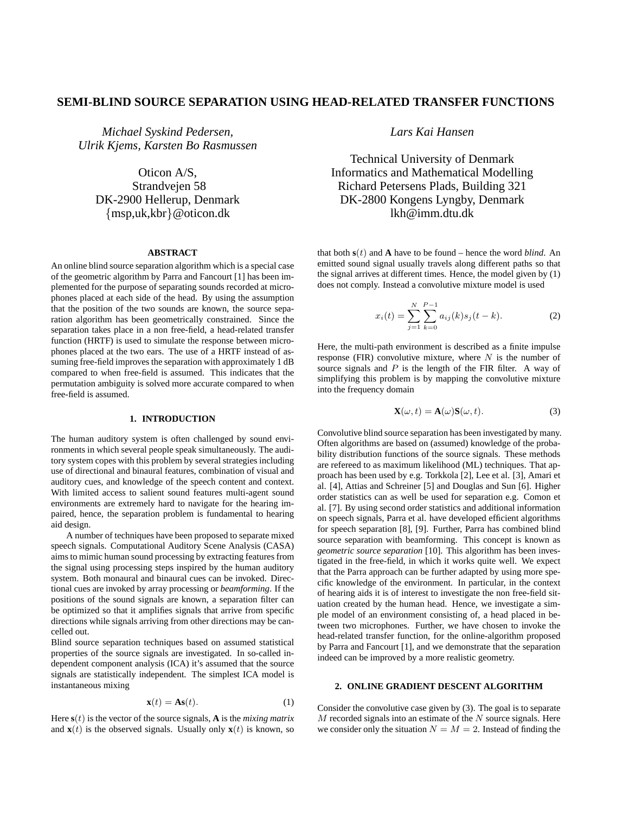# **SEMI-BLIND SOURCE SEPARATION USING HEAD-RELATED TRANSFER FUNCTIONS**

*Michael Syskind Pedersen, Ulrik Kjems, Karsten Bo Rasmussen*

Oticon A/S, Strandvejen 58 DK-2900 Hellerup, Denmark {msp,uk,kbr}@oticon.dk

## **ABSTRACT**

An online blind source separation algorithm which is a special case of the geometric algorithm by Parra and Fancourt [1] has been implemented for the purpose of separating sounds recorded at microphones placed at each side of the head. By using the assumption that the position of the two sounds are known, the source separation algorithm has been geometrically constrained. Since the separation takes place in a non free-field, a head-related transfer function (HRTF) is used to simulate the response between microphones placed at the two ears. The use of a HRTF instead of assuming free-field improves the separation with approximately 1 dB compared to when free-field is assumed. This indicates that the permutation ambiguity is solved more accurate compared to when free-field is assumed.

# **1. INTRODUCTION**

The human auditory system is often challenged by sound environments in which several people speak simultaneously. The auditory system copes with this problem by several strategies including use of directional and binaural features, combination of visual and auditory cues, and knowledge of the speech content and context. With limited access to salient sound features multi-agent sound environments are extremely hard to navigate for the hearing impaired, hence, the separation problem is fundamental to hearing aid design.

A number of techniques have been proposed to separate mixed speech signals. Computational Auditory Scene Analysis (CASA) aims to mimic human sound processing by extracting features from the signal using processing steps inspired by the human auditory system. Both monaural and binaural cues can be invoked. Directional cues are invoked by array processing or *beamforming*. If the positions of the sound signals are known, a separation filter can be optimized so that it amplifies signals that arrive from specific directions while signals arriving from other directions may be cancelled out.

Blind source separation techniques based on assumed statistical properties of the source signals are investigated. In so-called independent component analysis (ICA) it's assumed that the source signals are statistically independent. The simplest ICA model is instantaneous mixing

$$
\mathbf{x}(t) = \mathbf{A}\mathbf{s}(t). \tag{1}
$$

Here  $s(t)$  is the vector of the source signals, **A** is the *mixing matrix* and  $\mathbf{x}(t)$  is the observed signals. Usually only  $\mathbf{x}(t)$  is known, so

*Lars Kai Hansen*

Technical University of Denmark Informatics and Mathematical Modelling Richard Petersens Plads, Building 321 DK-2800 Kongens Lyngby, Denmark lkh@imm.dtu.dk

that both  $s(t)$  and **A** have to be found – hence the word *blind*. An emitted sound signal usually travels along different paths so that the signal arrives at different times. Hence, the model given by (1) does not comply. Instead a convolutive mixture model is used

$$
x_i(t) = \sum_{j=1}^{N} \sum_{k=0}^{P-1} a_{ij}(k)s_j(t-k).
$$
 (2)

Here, the multi-path environment is described as a finite impulse response (FIR) convolutive mixture, where  $N$  is the number of source signals and  $P$  is the length of the FIR filter. A way of simplifying this problem is by mapping the convolutive mixture into the frequency domain

$$
\mathbf{X}(\omega, t) = \mathbf{A}(\omega)\mathbf{S}(\omega, t). \tag{3}
$$

Convolutive blind source separation has been investigated by many. Often algorithms are based on (assumed) knowledge of the probability distribution functions of the source signals. These methods are refereed to as maximum likelihood (ML) techniques. That approach has been used by e.g. Torkkola [2], Lee et al. [3], Amari et al. [4], Attias and Schreiner [5] and Douglas and Sun [6]. Higher order statistics can as well be used for separation e.g. Comon et al. [7]. By using second order statistics and additional information on speech signals, Parra et al. have developed efficient algorithms for speech separation [8], [9]. Further, Parra has combined blind source separation with beamforming. This concept is known as *geometric source separation* [10]. This algorithm has been investigated in the free-field, in which it works quite well. We expect that the Parra approach can be further adapted by using more specific knowledge of the environment. In particular, in the context of hearing aids it is of interest to investigate the non free-field situation created by the human head. Hence, we investigate a simple model of an environment consisting of, a head placed in between two microphones. Further, we have chosen to invoke the head-related transfer function, for the online-algorithm proposed by Parra and Fancourt [1], and we demonstrate that the separation indeed can be improved by a more realistic geometry.

### **2. ONLINE GRADIENT DESCENT ALGORITHM**

Consider the convolutive case given by (3). The goal is to separate  $M$  recorded signals into an estimate of the  $N$  source signals. Here we consider only the situation  $N = M = 2$ . Instead of finding the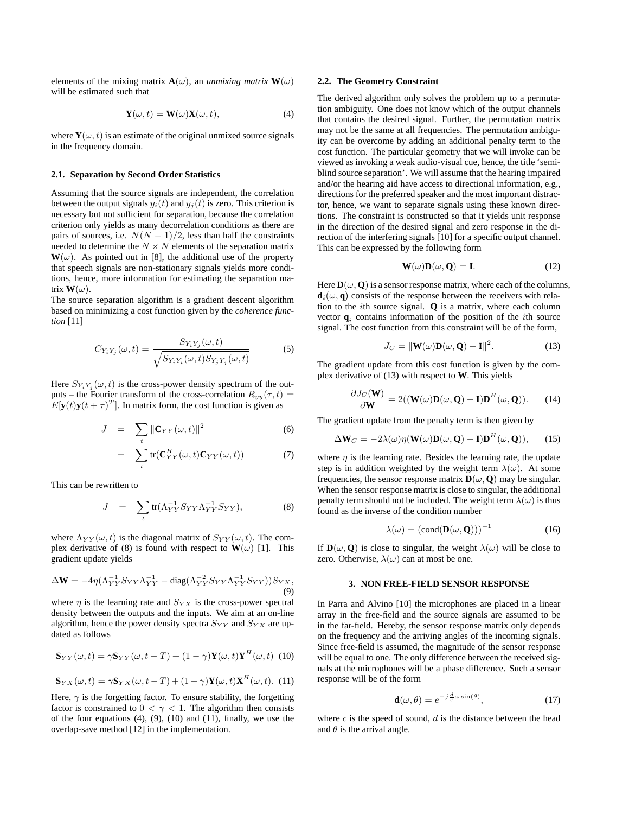elements of the mixing matrix  $\mathbf{A}(\omega)$ , an *unmixing matrix*  $\mathbf{W}(\omega)$ will be estimated such that

$$
\mathbf{Y}(\omega, t) = \mathbf{W}(\omega) \mathbf{X}(\omega, t), \tag{4}
$$

where  $Y(\omega, t)$  is an estimate of the original unmixed source signals in the frequency domain.

### **2.1. Separation by Second Order Statistics**

Assuming that the source signals are independent, the correlation between the output signals  $y_i(t)$  and  $y_j(t)$  is zero. This criterion is necessary but not sufficient for separation, because the correlation criterion only yields as many decorrelation conditions as there are pairs of sources, i.e.  $N(N-1)/2$ , less than half the constraints needed to determine the  $N \times N$  elements of the separation matrix  $W(\omega)$ . As pointed out in [8], the additional use of the property that speech signals are non-stationary signals yields more conditions, hence, more information for estimating the separation matrix  $\mathbf{W}(\omega)$ .

The source separation algorithm is a gradient descent algorithm based on minimizing a cost function given by the *coherence function* [11]

$$
C_{Y_i Y_j}(\omega, t) = \frac{S_{Y_i Y_j}(\omega, t)}{\sqrt{S_{Y_i Y_i}(\omega, t) S_{Y_j Y_j}(\omega, t)}}
$$
(5)

Here  $S_{Y_i Y_j}(\omega, t)$  is the cross-power density spectrum of the outputs – the Fourier transform of the cross-correlation  $R_{yy}(\tau, t) =$  $E[\mathbf{y}(t)\mathbf{y}(t+\tau)^{T}]$ . In matrix form, the cost function is given as

$$
J = \sum_{t} \|\mathbf{C}_{YY}(\omega, t)\|^2 \tag{6}
$$

$$
= \sum_{t} tr(C_{YY}^{H}(\omega, t) C_{YY}(\omega, t)) \tag{7}
$$

This can be rewritten to

$$
J = \sum_{t} \text{tr}(\Lambda_{YY}^{-1} S_{YY} \Lambda_{YY}^{-1} S_{YY}), \qquad (8)
$$

where  $\Lambda_{YY}(\omega, t)$  is the diagonal matrix of  $S_{YY}(\omega, t)$ . The complex derivative of (8) is found with respect to  $W(\omega)$  [1]. This gradient update yields

$$
\Delta W = -4\eta (\Lambda_{YY}^{-1} S_{YY} \Lambda_{YY}^{-1} - \text{diag}(\Lambda_{YY}^{-2} S_{YY} \Lambda_{YY}^{-1} S_{YY})) S_{YX},
$$
\n(9)

where  $\eta$  is the learning rate and  $S_{YX}$  is the cross-power spectral density between the outputs and the inputs. We aim at an on-line algorithm, hence the power density spectra  $S_{YY}$  and  $S_{YY}$  are updated as follows

$$
\mathbf{S}_{YY}(\omega, t) = \gamma \mathbf{S}_{YY}(\omega, t - T) + (1 - \gamma) \mathbf{Y}(\omega, t) \mathbf{Y}^H(\omega, t)
$$
 (10)

$$
\mathbf{S}_{YX}(\omega, t) = \gamma \mathbf{S}_{YX}(\omega, t - T) + (1 - \gamma) \mathbf{Y}(\omega, t) \mathbf{X}^H(\omega, t). \tag{11}
$$

Here,  $\gamma$  is the forgetting factor. To ensure stability, the forgetting factor is constrained to  $0 < \gamma < 1$ . The algorithm then consists of the four equations  $(4)$ ,  $(9)$ ,  $(10)$  and  $(11)$ , finally, we use the overlap-save method [12] in the implementation.

#### **2.2. The Geometry Constraint**

The derived algorithm only solves the problem up to a permutation ambiguity. One does not know which of the output channels that contains the desired signal. Further, the permutation matrix may not be the same at all frequencies. The permutation ambiguity can be overcome by adding an additional penalty term to the cost function. The particular geometry that we will invoke can be viewed as invoking a weak audio-visual cue, hence, the title 'semiblind source separation'. We will assume that the hearing impaired and/or the hearing aid have access to directional information, e.g., directions for the preferred speaker and the most important distractor, hence, we want to separate signals using these known directions. The constraint is constructed so that it yields unit response in the direction of the desired signal and zero response in the direction of the interfering signals [10] for a specific output channel. This can be expressed by the following form

$$
\mathbf{W}(\omega)\mathbf{D}(\omega,\mathbf{Q}) = \mathbf{I}.\tag{12}
$$

Here  $\mathbf{D}(\omega, \mathbf{O})$  is a sensor response matrix, where each of the columns,  $\mathbf{d}_i(\omega, \mathbf{q})$  consists of the response between the receivers with relation to the ith source signal. **Q** is a matrix, where each column vector  $\mathbf{q}_i$  contains information of the position of the *i*th source signal. The cost function from this constraint will be of the form,

$$
J_C = \|\mathbf{W}(\omega)\mathbf{D}(\omega, \mathbf{Q}) - \mathbf{I}\|^2. \tag{13}
$$

The gradient update from this cost function is given by the complex derivative of (13) with respect to **W**. This yields

$$
\frac{\partial J_C(\mathbf{W})}{\partial \mathbf{W}} = 2((\mathbf{W}(\omega)\mathbf{D}(\omega,\mathbf{Q}) - \mathbf{I})\mathbf{D}^H(\omega,\mathbf{Q})).
$$
 (14)

The gradient update from the penalty term is then given by

$$
\Delta \mathbf{W}_C = -2\lambda(\omega)\eta(\mathbf{W}(\omega)\mathbf{D}(\omega,\mathbf{Q}) - \mathbf{I})\mathbf{D}^H(\omega,\mathbf{Q})),\qquad(15)
$$

where  $\eta$  is the learning rate. Besides the learning rate, the update step is in addition weighted by the weight term  $\lambda(\omega)$ . At some frequencies, the sensor response matrix  $\mathbf{D}(\omega, \mathbf{Q})$  may be singular. When the sensor response matrix is close to singular, the additional penalty term should not be included. The weight term  $\lambda(\omega)$  is thus found as the inverse of the condition number

$$
\lambda(\omega) = (\text{cond}(\mathbf{D}(\omega, \mathbf{Q})))^{-1}
$$
 (16)

If  $\mathbf{D}(\omega, \mathbf{Q})$  is close to singular, the weight  $\lambda(\omega)$  will be close to zero. Otherwise,  $\lambda(\omega)$  can at most be one.

#### **3. NON FREE-FIELD SENSOR RESPONSE**

In Parra and Alvino [10] the microphones are placed in a linear array in the free-field and the source signals are assumed to be in the far-field. Hereby, the sensor response matrix only depends on the frequency and the arriving angles of the incoming signals. Since free-field is assumed, the magnitude of the sensor response will be equal to one. The only difference between the received signals at the microphones will be a phase difference. Such a sensor response will be of the form

$$
\mathbf{d}(\omega,\theta) = e^{-j\frac{d}{c}\omega\sin(\theta)},\tag{17}
$$

where  $c$  is the speed of sound,  $d$  is the distance between the head and  $\theta$  is the arrival angle.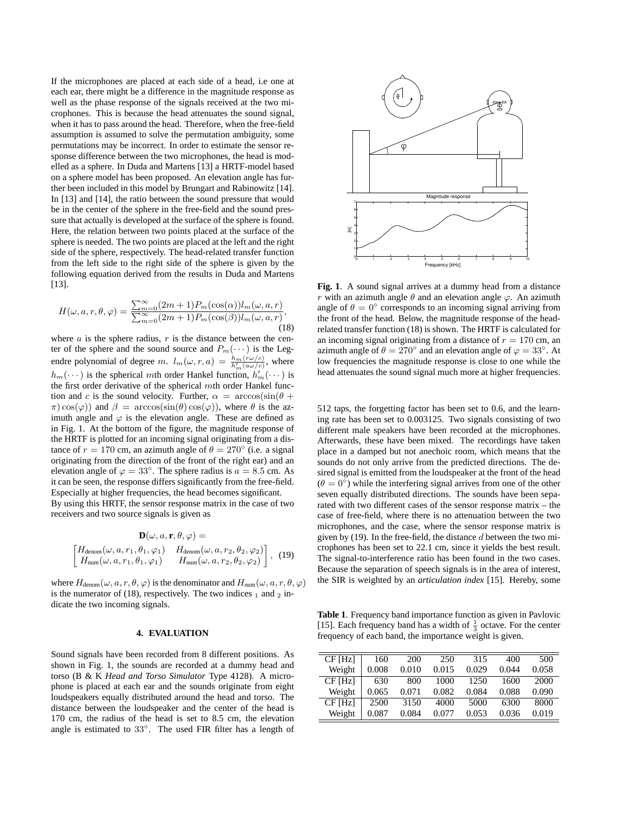If the microphones are placed at each side of a head, i.e one at each ear, there might be a difference in the magnitude response as well as the phase response of the signals received at the two microphones. This is because the head attenuates the sound signal, when it has to pass around the head. Therefore, when the free-field assumption is assumed to solve the permutation ambiguity, some permutations may be incorrect. In order to estimate the sensor response difference between the two microphones, the head is modelled as a sphere. In Duda and Martens [13] a HRTF-model based on a sphere model has been proposed. An elevation angle has further been included in this model by Brungart and Rabinowitz [14]. In [13] and [14], the ratio between the sound pressure that would be in the center of the sphere in the free-field and the sound pressure that actually is developed at the surface of the sphere is found. Here, the relation between two points placed at the surface of the sphere is needed. The two points are placed at the left and the right side of the sphere, respectively. The head-related transfer function from the left side to the right side of the sphere is given by the following equation derived from the results in Duda and Martens [13].

$$
H(\omega, a, r, \theta, \varphi) = \frac{\sum_{m=0}^{\infty} (2m+1) P_m(\cos(\alpha)) l_m(\omega, a, r)}{\sum_{m=0}^{\infty} (2m+1) P_m(\cos(\beta)) l_m(\omega, a, r)},
$$
\n(18)

where  $a$  is the sphere radius,  $r$  is the distance between the center of the sphere and the sound source and  $P_m(\cdots)$  is the Legendre polynomial of degree m.  $l_m(\omega, r, a) = \frac{h_m(r\omega/c)}{h'_m(a\omega/c)}$ , where  $h_m(\dots)$  is the spherical mth order Hankel function,  $h'_m(\dots)$  is the first order derivative of the spherical mth order Hankel function and c is the sound velocity. Further,  $\alpha = \arccos(\sin(\theta +$  $\pi$ ) cos( $\varphi$ )) and  $\beta = \arccos(\sin(\theta) \cos(\varphi))$ , where  $\theta$  is the azimuth angle and  $\varphi$  is the elevation angle. These are defined as in Fig. 1. At the bottom of the figure, the magnitude response of the HRTF is plotted for an incoming signal originating from a distance of  $r = 170$  cm, an azimuth angle of  $\theta = 270^{\circ}$  (i.e. a signal originating from the direction of the front of the right ear) and an elevation angle of  $\varphi = 33^\circ$ . The sphere radius is  $a = 8.5$  cm. As it can be seen, the response differs significantly from the free-field. Especially at higher frequencies, the head becomes significant. By using this HRTF, the sensor response matrix in the case of two

receivers and two source signals is given as

$$
\mathbf{D}(\omega, a, \mathbf{r}, \theta, \varphi) =
$$
\n
$$
\begin{bmatrix}\nH_{\text{denom}}(\omega, a, r_1, \theta_1, \varphi_1) & H_{\text{denom}}(\omega, a, r_2, \theta_2, \varphi_2) \\
H_{\text{num}}(\omega, a, r_1, \theta_1, \varphi_1) & H_{\text{num}}(\omega, a, r_2, \theta_2, \varphi_2)\n\end{bmatrix}, (19)
$$

where  $H_{\text{denom}}(\omega, a, r, \theta, \varphi)$  is the denominator and  $H_{\text{num}}(\omega, a, r, \theta, \varphi)$ is the numerator of (18), respectively. The two indices  $_1$  and  $_2$  indicate the two incoming signals.

### **4. EVALUATION**

Sound signals have been recorded from 8 different positions. As shown in Fig. 1, the sounds are recorded at a dummy head and torso (B & K *Head and Torso Simulator* Type 4128). A microphone is placed at each ear and the sounds originate from eight loudspeakers equally distributed around the head and torso. The distance between the loudspeaker and the center of the head is 170 cm, the radius of the head is set to 8.5 cm, the elevation angle is estimated to 33◦ . The used FIR filter has a length of



**Fig. 1**. A sound signal arrives at a dummy head from a distance r with an azimuth angle  $\theta$  and an elevation angle  $\varphi$ . An azimuth angle of  $\theta = 0^{\circ}$  corresponds to an incoming signal arriving from the front of the head. Below, the magnitude response of the headrelated transfer function (18) is shown. The HRTF is calculated for an incoming signal originating from a distance of  $r = 170$  cm, an azimuth angle of  $\theta = 270^{\circ}$  and an elevation angle of  $\varphi = 33^{\circ}$ . At low frequencies the magnitude response is close to one while the head attenuates the sound signal much more at higher frequencies.

512 taps, the forgetting factor has been set to 0.6, and the learning rate has been set to 0.003125. Two signals consisting of two different male speakers have been recorded at the microphones. Afterwards, these have been mixed. The recordings have taken place in a damped but not anechoic room, which means that the sounds do not only arrive from the predicted directions. The desired signal is emitted from the loudspeaker at the front of the head  $(\theta = 0^{\circ})$  while the interfering signal arrives from one of the other seven equally distributed directions. The sounds have been separated with two different cases of the sensor response matrix – the case of free-field, where there is no attenuation between the two microphones, and the case, where the sensor response matrix is given by (19). In the free-field, the distance  $d$  between the two microphones has been set to 22.1 cm, since it yields the best result. The signal-to-interference ratio has been found in the two cases. Because the separation of speech signals is in the area of interest, the SIR is weighted by an *articulation index* [15]. Hereby, some

**Table 1**. Frequency band importance function as given in Pavlovic [15]. Each frequency band has a width of  $\frac{1}{3}$  octave. For the center frequency of each band, the importance weight is given.

| $CF$ [Hz] | 160   | 200   | 250   | 315   | 400   | 500   |
|-----------|-------|-------|-------|-------|-------|-------|
| Weight    | 0.008 | 0.010 | 0.015 | 0.029 | 0.044 | 0.058 |
| $CF$ [Hz] | 630   | 800   | 1000  | 1250  | 1600  | 2000  |
| Weight    | 0.065 | 0.071 | 0.082 | 0.084 | 0.088 | 0.090 |
| $CF$ [Hz] | 2500  | 3150  | 4000  | 5000  | 6300  | 8000  |
| Weight    | 0.087 | 0.084 | 0.077 | 0.053 | 0.036 | 0.019 |